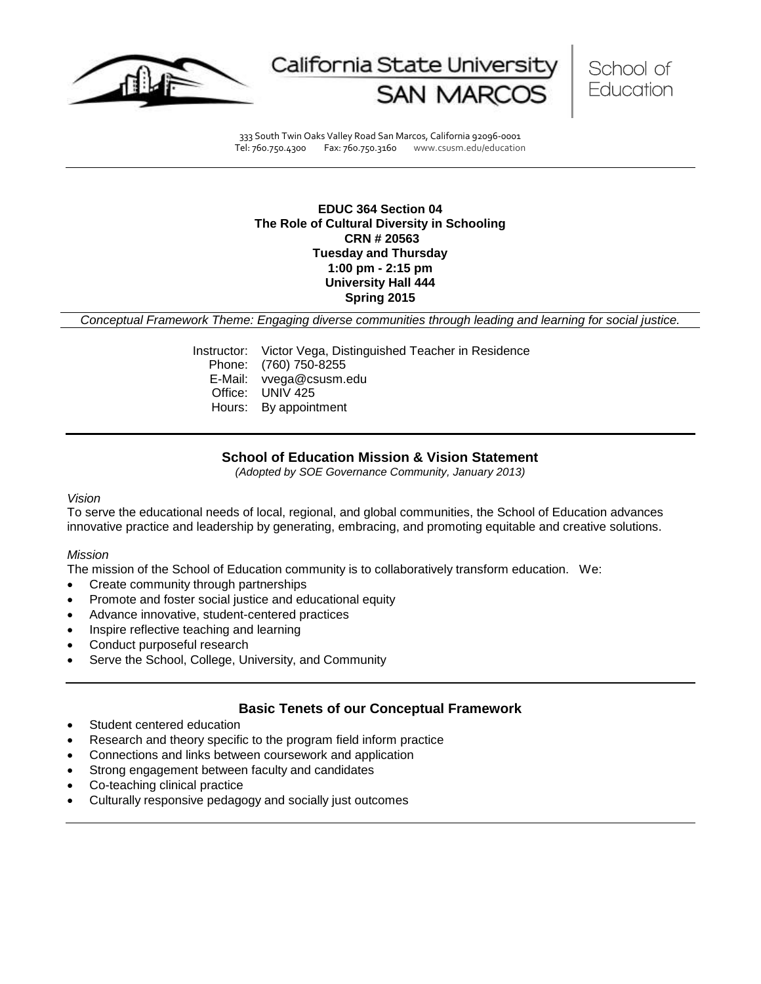

California State Universit



333 South Twin Oaks Valley Road San Marcos, California 92096-0001 Tel: 760.750.4300 Fax: 760.750.3160 www.csusm.edu/education

## **EDUC 364 Section 04 The Role of Cultural Diversity in Schooling CRN # 20563 Tuesday and Thursday 1:00 pm - 2:15 pm University Hall 444 Spring 2015**

*Conceptual Framework Theme: Engaging diverse communities through leading and learning for social justice.*

Instructor: Victor Vega, Distinguished Teacher in Residence Phone: (760) 750-8255 E-Mail: vvega@csusm.edu Office: UNIV 425 Hours: By appointment

# **School of Education Mission & Vision Statement**

*(Adopted by SOE Governance Community, January 2013)*

## *Vision*

To serve the educational needs of local, regional, and global communities, the School of Education advances innovative practice and leadership by generating, embracing, and promoting equitable and creative solutions.

## *Mission*

The mission of the School of Education community is to collaboratively transform education. We:

- Create community through partnerships
- Promote and foster social justice and educational equity
- Advance innovative, student-centered practices
- Inspire reflective teaching and learning
- Conduct purposeful research
- Serve the School, College, University, and Community

## **Basic Tenets of our Conceptual Framework**

- Student centered education
- Research and theory specific to the program field inform practice
- Connections and links between coursework and application
- Strong engagement between faculty and candidates
- Co-teaching clinical practice
- Culturally responsive pedagogy and socially just outcomes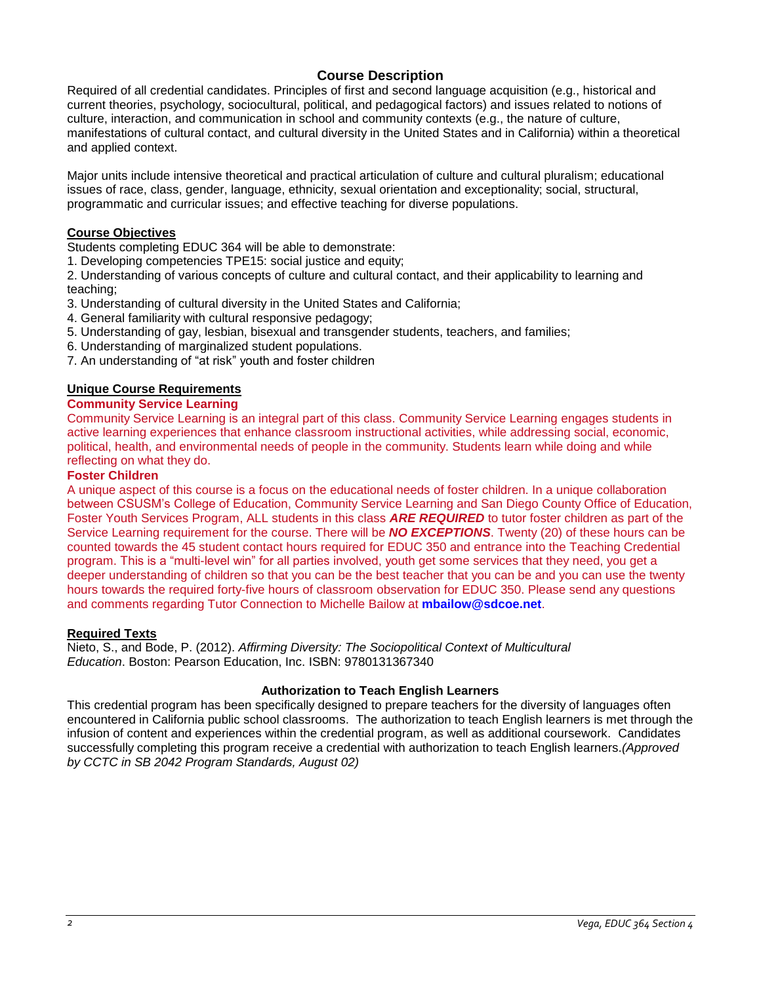# **Course Description**

Required of all credential candidates. Principles of first and second language acquisition (e.g., historical and current theories, psychology, sociocultural, political, and pedagogical factors) and issues related to notions of culture, interaction, and communication in school and community contexts (e.g., the nature of culture, manifestations of cultural contact, and cultural diversity in the United States and in California) within a theoretical and applied context.

Major units include intensive theoretical and practical articulation of culture and cultural pluralism; educational issues of race, class, gender, language, ethnicity, sexual orientation and exceptionality; social, structural, programmatic and curricular issues; and effective teaching for diverse populations.

# **Course Objectives**

Students completing EDUC 364 will be able to demonstrate:

1. Developing competencies TPE15: social justice and equity;

2. Understanding of various concepts of culture and cultural contact, and their applicability to learning and teaching;

- 3. Understanding of cultural diversity in the United States and California;
- 4. General familiarity with cultural responsive pedagogy;
- 5. Understanding of gay, lesbian, bisexual and transgender students, teachers, and families;
- 6. Understanding of marginalized student populations.
- 7. An understanding of "at risk" youth and foster children

## **Unique Course Requirements**

# **Community Service Learning**

Community Service Learning is an integral part of this class. Community Service Learning engages students in active learning experiences that enhance classroom instructional activities, while addressing social, economic, political, health, and environmental needs of people in the community. Students learn while doing and while reflecting on what they do.

## **Foster Children**

A unique aspect of this course is a focus on the educational needs of foster children. In a unique collaboration between CSUSM's College of Education, Community Service Learning and San Diego County Office of Education, Foster Youth Services Program, ALL students in this class *ARE REQUIRED* to tutor foster children as part of the Service Learning requirement for the course. There will be *NO EXCEPTIONS*. Twenty (20) of these hours can be counted towards the 45 student contact hours required for EDUC 350 and entrance into the Teaching Credential program. This is a "multi-level win" for all parties involved, youth get some services that they need, you get a deeper understanding of children so that you can be the best teacher that you can be and you can use the twenty hours towards the required forty-five hours of classroom observation for EDUC 350. Please send any questions and comments regarding Tutor Connection to Michelle Bailow at **mbailow@sdcoe.net**.

## **Required Texts**

Nieto, S., and Bode, P. (2012). *Affirming Diversity: The Sociopolitical Context of Multicultural Education*. Boston: Pearson Education, Inc. ISBN: 9780131367340

## **Authorization to Teach English Learners**

This credential program has been specifically designed to prepare teachers for the diversity of languages often encountered in California public school classrooms. The authorization to teach English learners is met through the infusion of content and experiences within the credential program, as well as additional coursework. Candidates successfully completing this program receive a credential with authorization to teach English learners.*(Approved by CCTC in SB 2042 Program Standards, August 02)*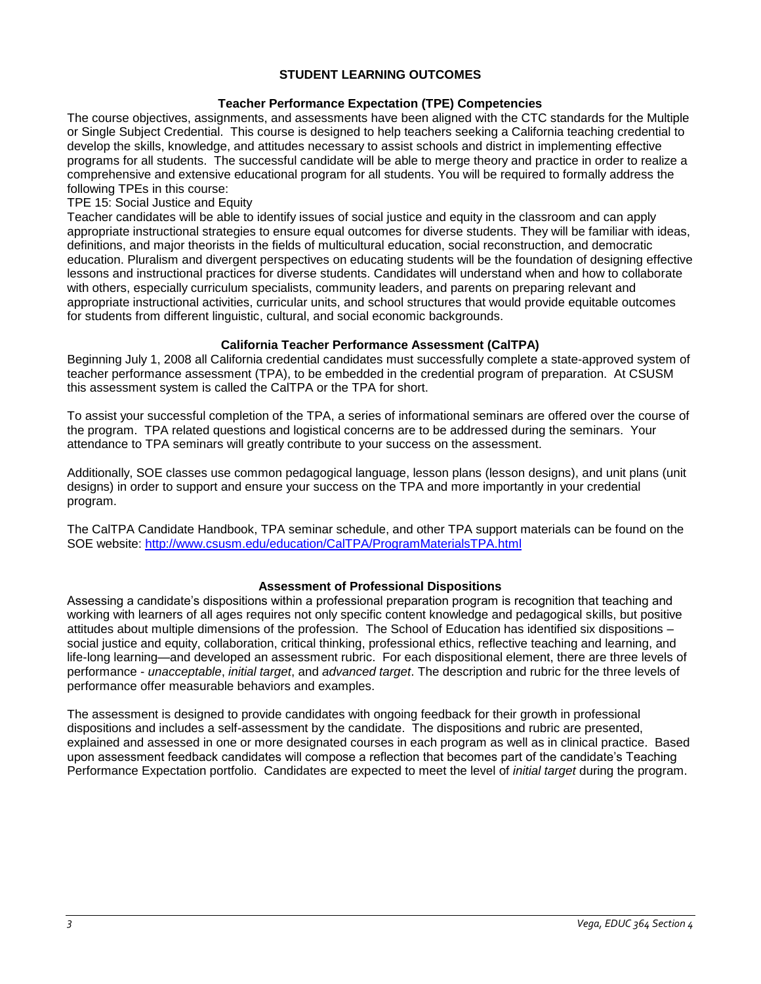## **STUDENT LEARNING OUTCOMES**

## **Teacher Performance Expectation (TPE) Competencies**

The course objectives, assignments, and assessments have been aligned with the CTC standards for the Multiple or Single Subject Credential. This course is designed to help teachers seeking a California teaching credential to develop the skills, knowledge, and attitudes necessary to assist schools and district in implementing effective programs for all students. The successful candidate will be able to merge theory and practice in order to realize a comprehensive and extensive educational program for all students. You will be required to formally address the following TPEs in this course:

## TPE 15: Social Justice and Equity

Teacher candidates will be able to identify issues of social justice and equity in the classroom and can apply appropriate instructional strategies to ensure equal outcomes for diverse students. They will be familiar with ideas, definitions, and major theorists in the fields of multicultural education, social reconstruction, and democratic education. Pluralism and divergent perspectives on educating students will be the foundation of designing effective lessons and instructional practices for diverse students. Candidates will understand when and how to collaborate with others, especially curriculum specialists, community leaders, and parents on preparing relevant and appropriate instructional activities, curricular units, and school structures that would provide equitable outcomes for students from different linguistic, cultural, and social economic backgrounds.

## **California Teacher Performance Assessment (CalTPA)**

Beginning July 1, 2008 all California credential candidates must successfully complete a state-approved system of teacher performance assessment (TPA), to be embedded in the credential program of preparation. At CSUSM this assessment system is called the CalTPA or the TPA for short.

To assist your successful completion of the TPA, a series of informational seminars are offered over the course of the program. TPA related questions and logistical concerns are to be addressed during the seminars. Your attendance to TPA seminars will greatly contribute to your success on the assessment.

Additionally, SOE classes use common pedagogical language, lesson plans (lesson designs), and unit plans (unit designs) in order to support and ensure your success on the TPA and more importantly in your credential program.

The CalTPA Candidate Handbook, TPA seminar schedule, and other TPA support materials can be found on the SOE website: <http://www.csusm.edu/education/CalTPA/ProgramMaterialsTPA.html>

## **Assessment of Professional Dispositions**

Assessing a candidate's dispositions within a professional preparation program is recognition that teaching and working with learners of all ages requires not only specific content knowledge and pedagogical skills, but positive attitudes about multiple dimensions of the profession. The School of Education has identified six dispositions – social justice and equity, collaboration, critical thinking, professional ethics, reflective teaching and learning, and life-long learning—and developed an assessment rubric. For each dispositional element, there are three levels of performance - *unacceptable*, *initial target*, and *advanced target*. The description and rubric for the three levels of performance offer measurable behaviors and examples.

The assessment is designed to provide candidates with ongoing feedback for their growth in professional dispositions and includes a self-assessment by the candidate. The dispositions and rubric are presented, explained and assessed in one or more designated courses in each program as well as in clinical practice. Based upon assessment feedback candidates will compose a reflection that becomes part of the candidate's Teaching Performance Expectation portfolio. Candidates are expected to meet the level of *initial target* during the program.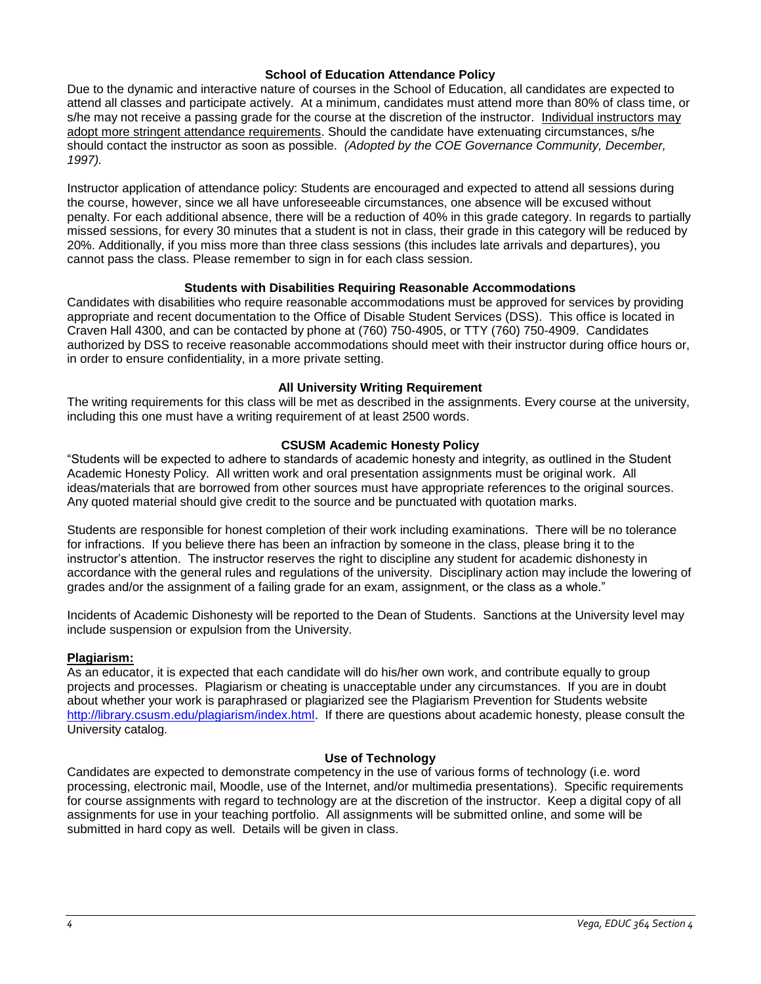## **School of Education Attendance Policy**

Due to the dynamic and interactive nature of courses in the School of Education, all candidates are expected to attend all classes and participate actively. At a minimum, candidates must attend more than 80% of class time, or s/he may not receive a passing grade for the course at the discretion of the instructor. Individual instructors may adopt more stringent attendance requirements. Should the candidate have extenuating circumstances, s/he should contact the instructor as soon as possible. *(Adopted by the COE Governance Community, December, 1997).*

Instructor application of attendance policy: Students are encouraged and expected to attend all sessions during the course, however, since we all have unforeseeable circumstances, one absence will be excused without penalty. For each additional absence, there will be a reduction of 40% in this grade category. In regards to partially missed sessions, for every 30 minutes that a student is not in class, their grade in this category will be reduced by 20%. Additionally, if you miss more than three class sessions (this includes late arrivals and departures), you cannot pass the class. Please remember to sign in for each class session.

## **Students with Disabilities Requiring Reasonable Accommodations**

Candidates with disabilities who require reasonable accommodations must be approved for services by providing appropriate and recent documentation to the Office of Disable Student Services (DSS). This office is located in Craven Hall 4300, and can be contacted by phone at (760) 750-4905, or TTY (760) 750-4909. Candidates authorized by DSS to receive reasonable accommodations should meet with their instructor during office hours or, in order to ensure confidentiality, in a more private setting.

## **All University Writing Requirement**

The writing requirements for this class will be met as described in the assignments. Every course at the university, including this one must have a writing requirement of at least 2500 words.

## **CSUSM Academic Honesty Policy**

"Students will be expected to adhere to standards of academic honesty and integrity, as outlined in the Student Academic Honesty Policy. All written work and oral presentation assignments must be original work. All ideas/materials that are borrowed from other sources must have appropriate references to the original sources. Any quoted material should give credit to the source and be punctuated with quotation marks.

Students are responsible for honest completion of their work including examinations. There will be no tolerance for infractions. If you believe there has been an infraction by someone in the class, please bring it to the instructor's attention. The instructor reserves the right to discipline any student for academic dishonesty in accordance with the general rules and regulations of the university. Disciplinary action may include the lowering of grades and/or the assignment of a failing grade for an exam, assignment, or the class as a whole."

Incidents of Academic Dishonesty will be reported to the Dean of Students. Sanctions at the University level may include suspension or expulsion from the University.

## **Plagiarism:**

As an educator, it is expected that each candidate will do his/her own work, and contribute equally to group projects and processes. Plagiarism or cheating is unacceptable under any circumstances. If you are in doubt about whether your work is paraphrased or plagiarized see the Plagiarism Prevention for Students website [http://library.csusm.edu/plagiarism/index.html.](http://library.csusm.edu/plagiarism/index.html) If there are questions about academic honesty, please consult the University catalog.

## **Use of Technology**

Candidates are expected to demonstrate competency in the use of various forms of technology (i.e. word processing, electronic mail, Moodle, use of the Internet, and/or multimedia presentations). Specific requirements for course assignments with regard to technology are at the discretion of the instructor. Keep a digital copy of all assignments for use in your teaching portfolio. All assignments will be submitted online, and some will be submitted in hard copy as well. Details will be given in class.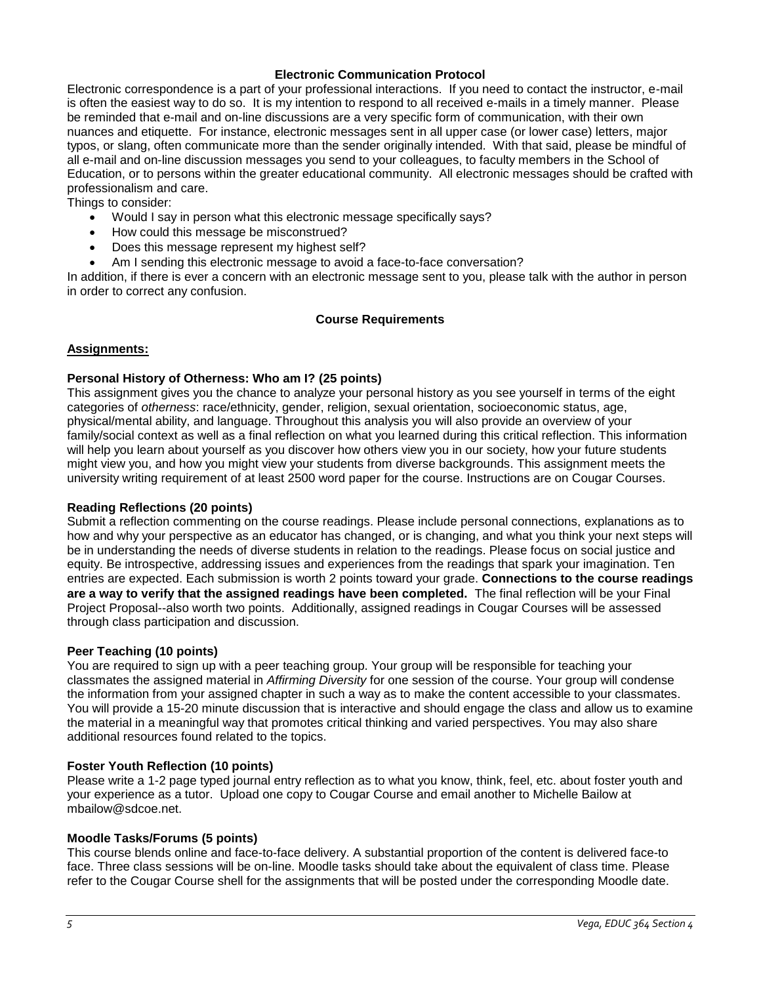## **Electronic Communication Protocol**

Electronic correspondence is a part of your professional interactions. If you need to contact the instructor, e-mail is often the easiest way to do so. It is my intention to respond to all received e-mails in a timely manner. Please be reminded that e-mail and on-line discussions are a very specific form of communication, with their own nuances and etiquette. For instance, electronic messages sent in all upper case (or lower case) letters, major typos, or slang, often communicate more than the sender originally intended. With that said, please be mindful of all e-mail and on-line discussion messages you send to your colleagues, to faculty members in the School of Education, or to persons within the greater educational community. All electronic messages should be crafted with professionalism and care.

Things to consider:

- Would I say in person what this electronic message specifically says?
- How could this message be misconstrued?
- Does this message represent my highest self?
- Am I sending this electronic message to avoid a face-to-face conversation?

In addition, if there is ever a concern with an electronic message sent to you, please talk with the author in person in order to correct any confusion.

## **Course Requirements**

## **Assignments:**

## **Personal History of Otherness: Who am I? (25 points)**

This assignment gives you the chance to analyze your personal history as you see yourself in terms of the eight categories of *otherness*: race/ethnicity, gender, religion, sexual orientation, socioeconomic status, age, physical/mental ability, and language. Throughout this analysis you will also provide an overview of your family/social context as well as a final reflection on what you learned during this critical reflection. This information will help you learn about yourself as you discover how others view you in our society, how your future students might view you, and how you might view your students from diverse backgrounds. This assignment meets the university writing requirement of at least 2500 word paper for the course. Instructions are on Cougar Courses.

## **Reading Reflections (20 points)**

Submit a reflection commenting on the course readings. Please include personal connections, explanations as to how and why your perspective as an educator has changed, or is changing, and what you think your next steps will be in understanding the needs of diverse students in relation to the readings. Please focus on social justice and equity. Be introspective, addressing issues and experiences from the readings that spark your imagination. Ten entries are expected. Each submission is worth 2 points toward your grade. **Connections to the course readings are a way to verify that the assigned readings have been completed.** The final reflection will be your Final Project Proposal--also worth two points. Additionally, assigned readings in Cougar Courses will be assessed through class participation and discussion.

## **Peer Teaching (10 points)**

You are required to sign up with a peer teaching group. Your group will be responsible for teaching your classmates the assigned material in *Affirming Diversity* for one session of the course. Your group will condense the information from your assigned chapter in such a way as to make the content accessible to your classmates. You will provide a 15-20 minute discussion that is interactive and should engage the class and allow us to examine the material in a meaningful way that promotes critical thinking and varied perspectives. You may also share additional resources found related to the topics.

## **Foster Youth Reflection (10 points)**

Please write a 1-2 page typed journal entry reflection as to what you know, think, feel, etc. about foster youth and your experience as a tutor. Upload one copy to Cougar Course and email another to Michelle Bailow at mbailow@sdcoe.net.

## **Moodle Tasks/Forums (5 points)**

This course blends online and face-to-face delivery. A substantial proportion of the content is delivered face-to face. Three class sessions will be on-line. Moodle tasks should take about the equivalent of class time. Please refer to the Cougar Course shell for the assignments that will be posted under the corresponding Moodle date.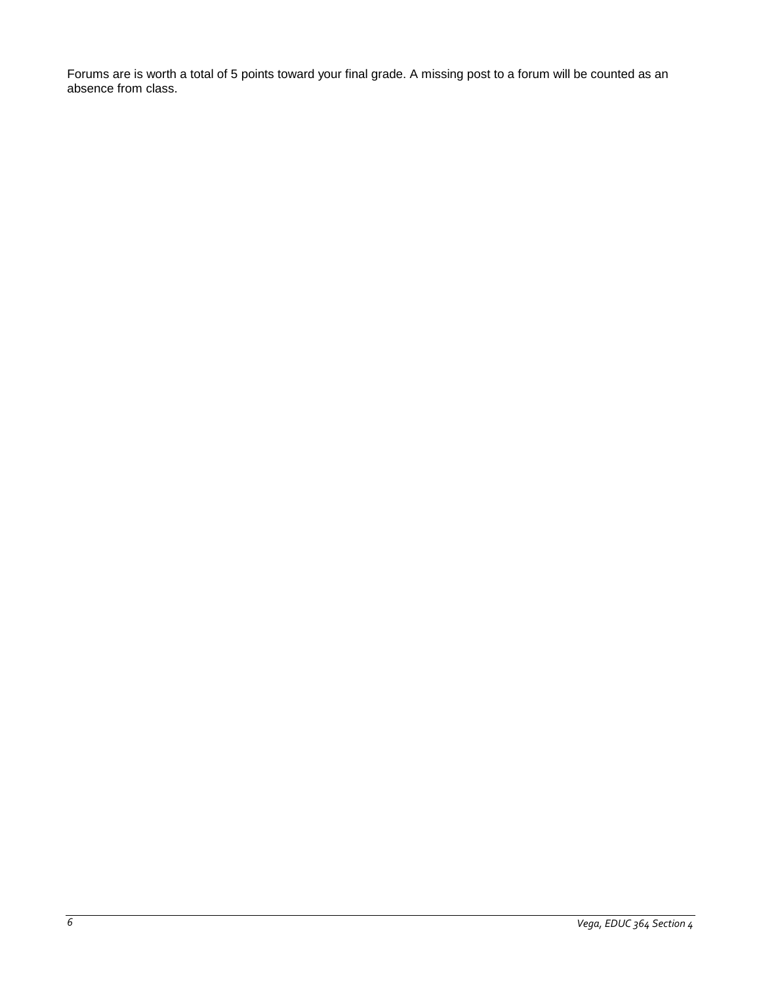Forums are is worth a total of 5 points toward your final grade. A missing post to a forum will be counted as an absence from class.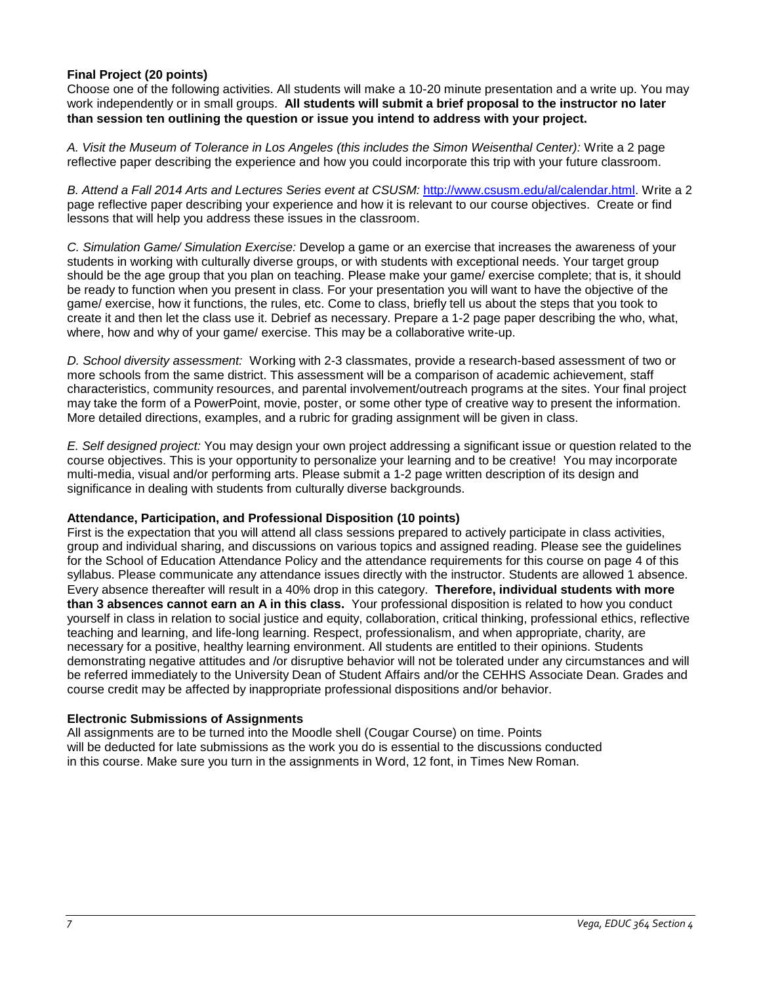# **Final Project (20 points)**

Choose one of the following activities. All students will make a 10-20 minute presentation and a write up. You may work independently or in small groups. **All students will submit a brief proposal to the instructor no later than session ten outlining the question or issue you intend to address with your project.**

*A. Visit the Museum of Tolerance in Los Angeles (this includes the Simon Weisenthal Center):* Write a 2 page reflective paper describing the experience and how you could incorporate this trip with your future classroom.

*B. Attend a Fall 2014 Arts and Lectures Series event at CSUSM:* [http://www.csusm.edu/al/calendar.html.](http://www.csusm.edu/al/calendar.html) Write a 2 page reflective paper describing your experience and how it is relevant to our course objectives. Create or find lessons that will help you address these issues in the classroom.

*C. Simulation Game/ Simulation Exercise:* Develop a game or an exercise that increases the awareness of your students in working with culturally diverse groups, or with students with exceptional needs. Your target group should be the age group that you plan on teaching. Please make your game/ exercise complete; that is, it should be ready to function when you present in class. For your presentation you will want to have the objective of the game/ exercise, how it functions, the rules, etc. Come to class, briefly tell us about the steps that you took to create it and then let the class use it. Debrief as necessary. Prepare a 1-2 page paper describing the who, what, where, how and why of your game/ exercise. This may be a collaborative write-up.

*D. School diversity assessment:* Working with 2-3 classmates, provide a research-based assessment of two or more schools from the same district. This assessment will be a comparison of academic achievement, staff characteristics, community resources, and parental involvement/outreach programs at the sites. Your final project may take the form of a PowerPoint, movie, poster, or some other type of creative way to present the information. More detailed directions, examples, and a rubric for grading assignment will be given in class.

*E. Self designed project:* You may design your own project addressing a significant issue or question related to the course objectives. This is your opportunity to personalize your learning and to be creative! You may incorporate multi-media, visual and/or performing arts. Please submit a 1-2 page written description of its design and significance in dealing with students from culturally diverse backgrounds.

## **Attendance, Participation, and Professional Disposition (10 points)**

First is the expectation that you will attend all class sessions prepared to actively participate in class activities, group and individual sharing, and discussions on various topics and assigned reading. Please see the guidelines for the School of Education Attendance Policy and the attendance requirements for this course on page 4 of this syllabus. Please communicate any attendance issues directly with the instructor. Students are allowed 1 absence. Every absence thereafter will result in a 40% drop in this category. **Therefore, individual students with more than 3 absences cannot earn an A in this class.** Your professional disposition is related to how you conduct yourself in class in relation to social justice and equity, collaboration, critical thinking, professional ethics, reflective teaching and learning, and life-long learning. Respect, professionalism, and when appropriate, charity, are necessary for a positive, healthy learning environment. All students are entitled to their opinions. Students demonstrating negative attitudes and /or disruptive behavior will not be tolerated under any circumstances and will be referred immediately to the University Dean of Student Affairs and/or the CEHHS Associate Dean. Grades and course credit may be affected by inappropriate professional dispositions and/or behavior.

## **Electronic Submissions of Assignments**

All assignments are to be turned into the Moodle shell (Cougar Course) on time. Points will be deducted for late submissions as the work you do is essential to the discussions conducted in this course. Make sure you turn in the assignments in Word, 12 font, in Times New Roman.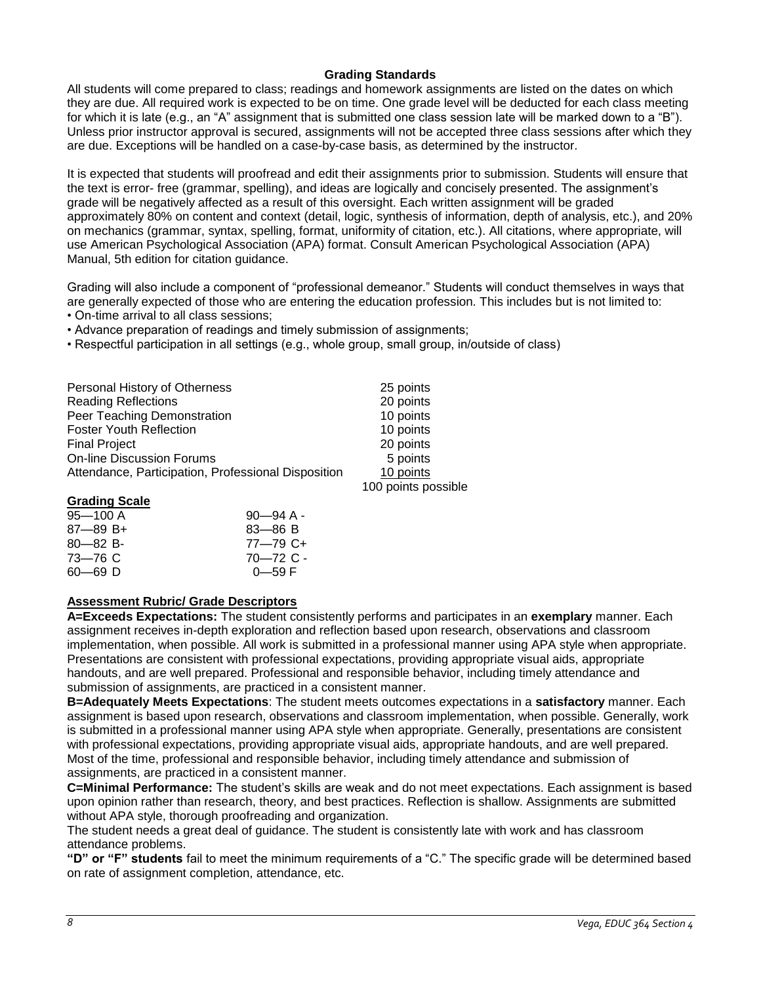# **Grading Standards**

All students will come prepared to class; readings and homework assignments are listed on the dates on which they are due. All required work is expected to be on time. One grade level will be deducted for each class meeting for which it is late (e.g., an "A" assignment that is submitted one class session late will be marked down to a "B"). Unless prior instructor approval is secured, assignments will not be accepted three class sessions after which they are due. Exceptions will be handled on a case-by-case basis, as determined by the instructor.

It is expected that students will proofread and edit their assignments prior to submission. Students will ensure that the text is error- free (grammar, spelling), and ideas are logically and concisely presented. The assignment's grade will be negatively affected as a result of this oversight. Each written assignment will be graded approximately 80% on content and context (detail, logic, synthesis of information, depth of analysis, etc.), and 20% on mechanics (grammar, syntax, spelling, format, uniformity of citation, etc.). All citations, where appropriate, will use American Psychological Association (APA) format. Consult American Psychological Association (APA) Manual, 5th edition for citation guidance.

Grading will also include a component of "professional demeanor." Students will conduct themselves in ways that are generally expected of those who are entering the education profession. This includes but is not limited to:

- On-time arrival to all class sessions;
- Advance preparation of readings and timely submission of assignments;
- Respectful participation in all settings (e.g., whole group, small group, in/outside of class)

| Personal History of Otherness                       | 25 points           |
|-----------------------------------------------------|---------------------|
| <b>Reading Reflections</b>                          | 20 points           |
| Peer Teaching Demonstration                         | 10 points           |
| <b>Foster Youth Reflection</b>                      | 10 points           |
| <b>Final Project</b>                                | 20 points           |
| <b>On-line Discussion Forums</b>                    | 5 points            |
| Attendance, Participation, Professional Disposition | 10 points           |
|                                                     | 100 points possible |

## **Grading Scale**

| $95 - 100$ A  | $90 - 94$ A - |
|---------------|---------------|
| $87 - 89 B +$ | $83 - 86 B$   |
| $80 - 82 B$   | $77 - 79$ C+  |
| 73—76 C       | $70 - 72$ C - |
| 60—69 D       | $0 - 59 F$    |

# **Assessment Rubric/ Grade Descriptors**

**A=Exceeds Expectations:** The student consistently performs and participates in an **exemplary** manner. Each assignment receives in-depth exploration and reflection based upon research, observations and classroom implementation, when possible. All work is submitted in a professional manner using APA style when appropriate. Presentations are consistent with professional expectations, providing appropriate visual aids, appropriate handouts, and are well prepared. Professional and responsible behavior, including timely attendance and submission of assignments, are practiced in a consistent manner.

**B=Adequately Meets Expectations**: The student meets outcomes expectations in a **satisfactory** manner. Each assignment is based upon research, observations and classroom implementation, when possible. Generally, work is submitted in a professional manner using APA style when appropriate. Generally, presentations are consistent with professional expectations, providing appropriate visual aids, appropriate handouts, and are well prepared. Most of the time, professional and responsible behavior, including timely attendance and submission of assignments, are practiced in a consistent manner.

**C=Minimal Performance:** The student's skills are weak and do not meet expectations. Each assignment is based upon opinion rather than research, theory, and best practices. Reflection is shallow. Assignments are submitted without APA style, thorough proofreading and organization.

The student needs a great deal of guidance. The student is consistently late with work and has classroom attendance problems.

**"D" or "F" students** fail to meet the minimum requirements of a "C." The specific grade will be determined based on rate of assignment completion, attendance, etc.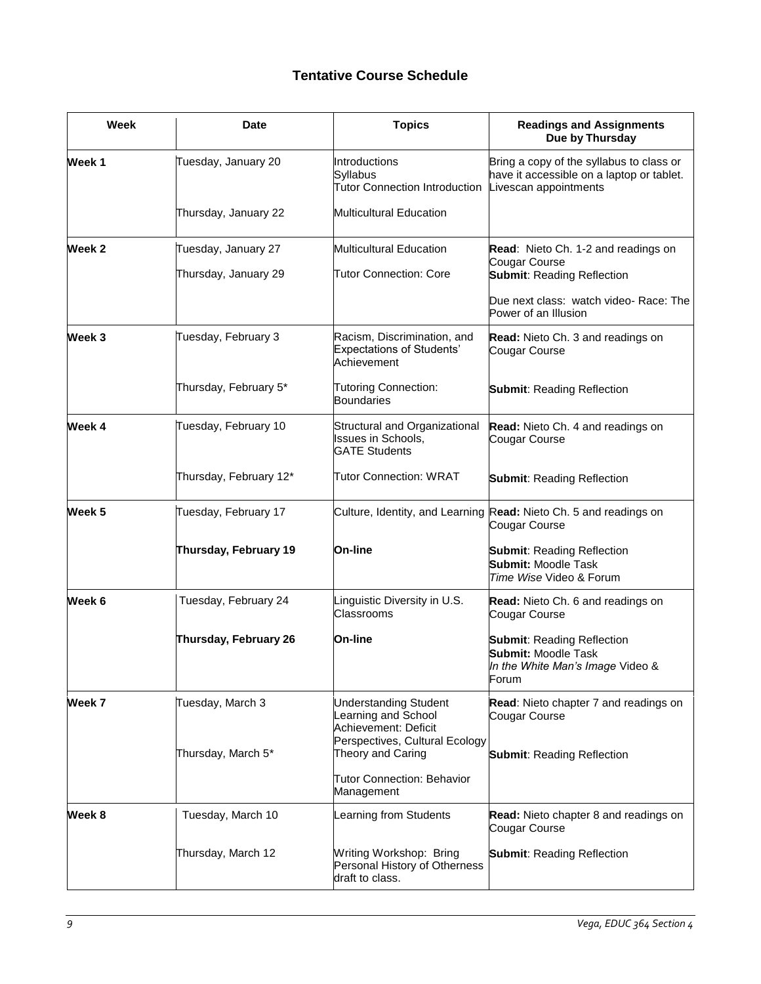# **Tentative Course Schedule**

| <b>Week</b> | <b>Date</b>                                 | <b>Topics</b>                                                                  | <b>Readings and Assignments</b><br>Due by Thursday                                                             |
|-------------|---------------------------------------------|--------------------------------------------------------------------------------|----------------------------------------------------------------------------------------------------------------|
| Week 1      | Tuesday, January 20                         | Introductions<br>Syllabus<br><b>Tutor Connection Introduction</b>              | Bring a copy of the syllabus to class or<br>have it accessible on a laptop or tablet.<br>Livescan appointments |
|             | Thursday, January 22                        | <b>Multicultural Education</b>                                                 |                                                                                                                |
| Week 2      | Tuesday, January 27<br>Thursday, January 29 | <b>Multicultural Education</b><br>Tutor Connection: Core                       | Read: Nieto Ch. 1-2 and readings on<br>Cougar Course<br><b>Submit: Reading Reflection</b>                      |
|             |                                             |                                                                                | Due next class: watch video- Race: The<br>Power of an Illusion                                                 |
| Week 3      | Tuesday, February 3                         | Racism, Discrimination, and<br><b>Expectations of Students'</b><br>Achievement | Read: Nieto Ch. 3 and readings on<br>Cougar Course                                                             |
|             | Thursday, February 5*                       | <b>Tutoring Connection:</b><br><b>Boundaries</b>                               | <b>Submit: Reading Reflection</b>                                                                              |
| Week 4      | Tuesday, February 10                        | Structural and Organizational<br>Issues in Schools,<br><b>GATE Students</b>    | Read: Nieto Ch. 4 and readings on<br>Cougar Course                                                             |
|             | Thursday, February 12*                      | Tutor Connection: WRAT                                                         | <b>Submit: Reading Reflection</b>                                                                              |
| Week 5      | Tuesday, February 17                        |                                                                                | Culture, Identity, and Learning Read: Nieto Ch. 5 and readings on<br>Cougar Course                             |
|             | Thursday, February 19                       | On-line                                                                        | <b>Submit: Reading Reflection</b><br><b>Submit: Moodle Task</b><br>Time Wise Video & Forum                     |
| Week 6      | Tuesday, February 24                        | Linguistic Diversity in U.S.<br>Classrooms                                     | Read: Nieto Ch. 6 and readings on<br>Cougar Course                                                             |
|             | Thursday, February 26                       | On-line                                                                        | <b>Submit: Reading Reflection</b><br><b>Submit: Moodle Task</b><br>In the White Man's Image Video &<br>Forum   |
| Week 7      | Tuesday, March 3                            | <b>Understanding Student</b><br>earning and School<br>Achievement: Deficit     | Read: Nieto chapter 7 and readings on<br>Cougar Course                                                         |
|             | Thursday, March 5*                          | Perspectives, Cultural Ecology<br>Theory and Caring                            | <b>Submit: Reading Reflection</b>                                                                              |
|             |                                             | <b>Tutor Connection: Behavior</b><br>Management                                |                                                                                                                |
| Week 8      | Tuesday, March 10                           | Learning from Students                                                         | Read: Nieto chapter 8 and readings on<br>Cougar Course                                                         |
|             | Thursday, March 12                          | Writing Workshop: Bring<br>Personal History of Otherness<br>draft to class.    | <b>Submit: Reading Reflection</b>                                                                              |